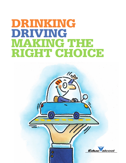# **DRINKING DRIVING MAKING THE RIGHT CHOICE**

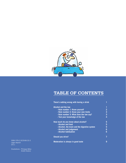

# **TABLE OF CONTENTS**

| There's nothing wrong with having a drink     |                |
|-----------------------------------------------|----------------|
| <b>Alcohol and the law</b>                    | 1              |
| - Rule number 1: Know yourself                | $\overline{2}$ |
| - Rule number 2: Know your own limits         | 3              |
| - Rule number 3: What does the law say?       | 3              |
| - Test your knowledge of the law              | 4              |
| How much do you know about alcohol?           | 5              |
| - Alcohol and food                            | 5              |
| - Alcohol, the brain and the digestive system | 5              |
| - Alcohol and judgement                       | 6              |
| - Alcohol habituation                         | 6              |
| <b>Should you drive?</b>                      | 7              |
| <b>Moderation is always in good taste</b>     | 9              |

**Moderation is always in good taste 9** ISBN 978-2-923548-33-3 Legal deposit 2011

Illustrations : Philippe Béha André Dubois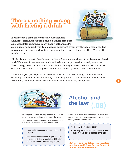# **There's nothing wrong with having a drink**



**1**

It's fun to sip a drink among friends. A reasonable amount of alcohol enjoyed in a relaxed atmosphere adds a pleasant little something to any happy gathering. It's

also a time-honoured way to celebrate important events with those you love. The pop of a champagne cork puts everyone in the mood to toast the New Year or the newlyweds!

Alcohol is simply part of our human heritage. Since ancient times, it has been associated with life's significant events, such as birth, marriage, death and religious rites. Even today, many of us associate alcohol with major milestones and rituals. And everyone knows how easily the fun can be ruined by irresponsible behaviour.

Whenever you get together to celebrate with friends or family, remember that drinking too much--or irresponsibly--inevitably leads to inebriation and discomfort. Above all, remember that drinking and driving definitely do not mix.



Drinking and driving is not only irresponsible, it's very dangerous for you and everyone else on the road.

The Criminal Code is extremely clear. It states that it is forbidden to operate a motor vehicule when:

**• your ability to operate a motor vehicule is impaired;**

**• the alcohol concentration in your blood is greater than 80 mg of alcohol per 100 ml of blood, the famous "point zero eight" (.08). But how can you tell if your faculties** 

# **Alcohol and the law (.08)**

For new drivers with a learner's or probationary licence and for drivers of 21 years of age or younger, no matter what type of licence they have:

- **The law is even more severe**
- **You may not drive with any alcohol in your system at all. Zero tolerance is the rule.**

**are impaired? How do you know if you're over the legal limit?**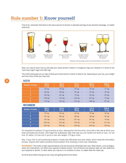### **Rule number 1: Know yourself**

First of all, remember that there is the same amount of alcohol in standard servings of any alcoholic beverage, no matter what kind.



Next, you have to learn how to calculate your blood alcohol content in milligrams (mg) and interpret it in terms of the "point zero eight" legal limit (80 mg).

The charts below give you an idea of what your blood alcohol content is likely to be, depending on your sex, your weight and how many drinks you have had.

| <b>Number of drinks</b> | $125$ lb.<br>57 kg | 150 lb.<br>68 kg | $175$ lb.<br>80 kg | 200 lb.<br>91 kg | 250 lb.<br>113 kg |
|-------------------------|--------------------|------------------|--------------------|------------------|-------------------|
|                         | 34 mg              | 29 <sub>mg</sub> | $25 \text{ mg}$    | $22 \text{ mg}$  | $17 \text{ mg}$   |
| 2                       | 69 mg              | 58 mg            | 50 <sub>mg</sub>   | $43 \text{ mg}$  | 35 <sub>mg</sub>  |
| 3                       | $103 \text{ mg}$   | $87 \text{ mg}$  | 75 mg              | 65 mg            | 52 mg             |
| 4                       | 139 mg             | $116$ mg         | $100$ mg           | 87 mg            | 70 mg             |
| 5                       | 173 mg             | 145 mg           | $125 \text{ mg}$   | 108 mg           | 87 mg             |

#### **MEN**

#### **WOMEN**

| <b>Number of drinks</b> | 100 lb.<br>45 kg | 125 lb.<br>57 kg | 150 lb.<br>68 kg | 175 lb.<br>80 kg | 200 lb.<br>91 kg |
|-------------------------|------------------|------------------|------------------|------------------|------------------|
|                         | 50 mg            | $40 \text{ mg}$  | 34 mg            | 29 <sub>mg</sub> | 26 <sub>mg</sub> |
| $\overline{2}$          | $101$ mg         | 80 mg            | 68 mg            | 58 mg            | 50 mg            |
| 3                       | $152 \text{ mg}$ | $120$ mg         | $101$ mg         | 87 mg            | 76 mg            |
| 4                       | $203 \text{ mg}$ | 162 mg           | 135 mg           | $117$ mg         | $101$ mg         |
| 5,                      | $253 \text{ mg}$ | 202 mg           | 169 mg           | 146 mg           | $126$ mg         |

It's important to subtract 15 mg of alcohol an hour, starting from the first drink, since that is the rate at which your body eliminates the alcohol. And forget the widespread myth that says you can handle one drink an hour. It's not true. Or rather, it's true only if you're a man who weighs 115 kg or more.

Also, if your liver is not functioning properly, it works less efficiently and more slowly, which slows the elimination process. Anyone with health problems should abstain from drinking or drink very moderately.

**WARNING!** The charts contain approximations only and should be interpreted with care. Other factors, such as fatigue, stress and medications, can affect your capacity to absorb alcohol. Your emotional and physical state can also determine your response to alcohol. In other words, you may be in no condition to drive, no matter what the charts say.

So think twice before having one too many and getting behind the wheel.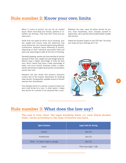### **Rule number 2: Know your own limits**

When it comes to alcohol, we are not all created equal. Never mind what your friends, partners or coworkers are drinking. They have their limits and you have yours.

Aside from the speed at which you're drinking, your sex, weight and muscle mass will determine how much alcohol you can consume before being affected. Furthermore, everyone reacts differently to alcohol, depending on their individual personality traits and particular psychological state at the time of drinking.

Generally speaking, women are more sensitive to alcohol because of their size, weight and percentage body fat. Women have a higher percentage of body fat than men, which means they have a lower percentage of water, and since alcohol dissolves mostly in water, women will achieve a higher blood alcohol concentration sooner than men.

Research has also shown that women's stomachs contain less of the enzyme responsible for breaking down alcohol. Consequently, a greater amount of alcohol reaches their bloodstream.

One standard drink for a woman is equal to about one and a half drinks for a man. In other words, it takes less alcohol for a women to be impaired than a man.

Whatever the case, never let others decide for you and, most importantly, don't compare yourself to anyone else. Life is just too short to play Russian roulette with alcohol.

Assess the situation based on how YOU feel. You know your body and your feelings don't lie!



### **Rule number 3: What does the law say?**

**The law is very clear: the legal drinking limit, i.e. your blood alcohol limit, varies according to the type of licence you have.**

| <b>Type of licence</b>               | <b>Legal limit for driving</b> |
|--------------------------------------|--------------------------------|
| Learner                              | Zero $(0)$                     |
| Probationary                         | Zero $(0)$                     |
| Driver $-21$ years of age or younger | Zero $(0)$                     |
| <b>Driver</b>                        | "Point zero eight" (.08)       |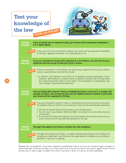

| <b>TRUE?</b><br><b>FALSE?</b> | If you are pulled over for impaired driving, your licence will be suspended immediately if<br>it is a repeat offense.                                                                                                                                                                                                                                |
|-------------------------------|------------------------------------------------------------------------------------------------------------------------------------------------------------------------------------------------------------------------------------------------------------------------------------------------------------------------------------------------------|
| FALSE                         | If you are found to be driving while impaired, your licence will be suspended immediately<br>for 90 days, regardless of whether it's a repeat offense or not.                                                                                                                                                                                        |
| <b>TRUE?</b><br><b>FALSE?</b> | If you are convicted of driving while impaired on a first offence, you will have to pay a<br>significant fine but you get to keep your driver's licence.                                                                                                                                                                                             |
| FALSE                         | If you are convicted on a first offence, you have to pay a significant fine and your driver's<br>licence is automatically cancelled for one year.                                                                                                                                                                                                    |
|                               | • In addition, first offenders must submit to a mandatory summary assessment of their<br>behaviour, administered in a special centre, to determine whether their drinking habits<br>are compromising their ability to drive safely. If the assessment is unfavourable, they<br>must undergo a comprehensive assessment.                              |
| <b>TRUE?</b><br><b>FALSE?</b> | If you are driving with a learner's licence or probationary licence, or you are 21 or younger with<br>any type of licence, and are found to have even the slightest amount of alcohol in your blood,<br>your licence will be suspended for 90 days.                                                                                                  |
| TRUE                          | If you are driving with a learner's licence or probationary licence and are found to have even<br>the slightest amount of alcohol in your blood your licence will be automatically suspended:                                                                                                                                                        |
|                               | • And four (4) demerit points will be entered on your driving record.<br>• You will have to pay between \$438 and \$865, including the fine plus other fees and<br>contributions.<br>• If convicted of driving while impaired, you will be treated like all other drivers and your<br>driver's licence will be cancelled automatically for one year. |
| <b>TRUE?</b><br><b>FALSE?</b> | The legal limit applies to all drivers, but there are a few exceptions.                                                                                                                                                                                                                                                                              |
| FALSE                         | The legal limit applies to all drivers, no matter why they were drinking. Police officers will<br>not give you a break even if you think you had a good reason to celebrate, e.g. a birthday, a<br>promotion, a new job or a wedding.                                                                                                                |

Whatever the circumstances, if you have a learner's or probationary licence, or if you are 21 years of age or younger, no matter what type of licence you have, you mustn't drink at all if you plan to drive. If you have a regular driver's licence and are over 21 years of age, it's better not to drink if you plan to drive, or if you do, to drink moderately.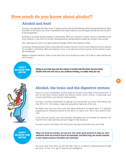## **How much do you know about alcohol?**

#### **Alcohol and food**

Alcohol is not digested like other foods. It passes quickly into the bloodstream without being transformed. More than 80% of the alcohol you drink is absorbed by the small intestine, and 20% goes directly from the stomach to the bloodstream.

Drinking on an empty stomach speeds up the process. When your stomach is empty, alcohol is absorbed by the small intestine in less than 30 minutes. Drinking without eating therefore makes you drunker more quickly.

Also, downing your drink in one gulp produces stronger effects than sipping it slowly.

Conversely, drinking during or after a meal slows the release of alcohol into the small intestine and thus reduces its circulation in the blood. When your stomach is full, it can take one to three hours for all the alcohol to reach the bloodstream.

Beware of delayed reactions. Pizza--or any other food--will not keep you sober. You'll take in extra calories and still be drunk.

**DON'T BELIEVE THE MYTH!** 

**Eating as you drink may slow the release of alcohol into the blood, but your blood alcohol level will still rise as you continue drinking, no matter what you eat.**



#### **Alcohol, the brain and the digestive system**

Once it's in your bloodstream, alcohol travels to all parts of the body, including the brain. It acts on the entire nervous system and affects critical control centres, in particular, your muscle coordination and decision-making ability.

The liver is primarily responsible for getting rid of the alcohol you drink, eliminating more than 90% of it. The kidneys, lungs and perspiration take care of the rest.

No matter how much you drink, your liver keeps working at its regular pace. It is basically programmed to metabolize alcohol at the rate of 15 mg an hour, and it can't perform miracles!

If you drink too quickly, your liver becomes overloaded and can't handle the demand. You head will soon start spinning and you'll begin to feel nauseous.

You won't start to feel better until the alcohol has been eliminated from your body.

**DON'T BELIEVE THE MYTH!** 

**When you drink too quickly, you put your liver under great pressure to keep up. Each additional drink has to wait its turn to be eliminated, and before long, the alcohol overload in your system produces discomfort and inebriation.**

You must never drive when you feel like that. There is no shame in asking someone to take you home. In fact, it's a sign of maturity and intelligence.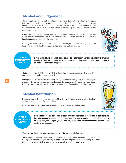#### **Alcohol and judgement**

Alcohol may have a mildly euphoric effect, but it is not a stimulant. It is actually a depressant that slows brain activity and reduces tension. Under the influence of alcohol, you lose your inhibitions; initially, it can put you in a pleasant mood and make you more sociable. Alcohol also changes how we see ourselves and others. It makes people bolder, but can affect their good judgement.

If you drink a lot, your reflexes slow down and it becomes dangerous to drive. Without realizing it, you can lose control and find it difficult to think clearly. It can be hard to concentrate or take the appropriate action at the right time.

Drinking too much also affects your coordination. When you are intoxicated, you may even have trouble seeing clearly, and you may feel confused and disoriented.



**DON'T BELIEVE THE MYTH!** 

**If your faculties are impaired, exercise and cold showers won't help. No amount of physical activity or fresh air can reduce the amount of alcohol in your blood. You can run or dance all you like: it won't do any good.**

That's because barely 3% of the alcohol is eliminated through perspiration. The liver does most of the work, and you have to give it time.

Some people think that coffee--especially strong, black coffee--will get you sober. That's just another myth. Coffee can't do anything to speed the elimination of alcohol from your body. It may keep you from falling asleep, but it won't keep you from doing something stupid.

#### **Alcohol habituation**

If you are used to drinking, you may not feel the effects of alcohol as strongly. But don't rely on that as an indication of your condition.

No matter how you feel, the amount of alcohol in your blood is still the same.



#### **DON'T BELIEVE THE MYTH!**

**Beer drinkers run the same risk as other drinkers. Remember that one can of beer contains the same amount of alcohol as a glass of wine or a shot of spirits. If you spend the evening drinking beer, ale or lager, you can end up just as drunk as someone who's been drinking vodka or gin shooters.**

Whatever you drink, your body can eliminate only 15 mg of alcohol an hour.

Some people mistakenly believe that it's OK to drive if they have stopped drinking for an hour. But if you've been drinking all evening, it could take a lot longer than an hour to bring your blood alcohol content down to the legal limit. Patience is the only thing that works.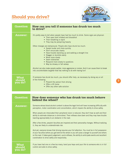# **Should you drive?**



| <b>Question:</b>                 | How can you tell if someone has drunk too much<br>to drive?                                                                                                                                                                                                                                                                                                      |
|----------------------------------|------------------------------------------------------------------------------------------------------------------------------------------------------------------------------------------------------------------------------------------------------------------------------------------------------------------------------------------------------------------|
| <b>Answer:</b>                   | It's pretty easy to tell when people have had too much to drink. Some signs are physical:<br>• Their eyes look irritated and bloodshot<br>• Their breathing is rapid<br>• They may be perspiring heavily                                                                                                                                                         |
|                                  | Other changes are behavioural. People who have drunk too much:<br>• Speak louder and more quickly<br>• Don't enunciate clearly<br>• Have trouble standing up and walking a straight line<br>• Stagger or stumble easily<br>• Move more slowly<br>• Seem distracted<br>• Respond more slowly to questions<br>• May be drowsy or fall asleep                       |
|                                  | Alcohol can also make people sadder, more aggressive or noisier. And it can cause them to break<br>into uncontrollable laughter that has nothing to do with having fun!                                                                                                                                                                                          |
| <b>What</b><br>should<br>you do? | If someone has drunk too much, you should offer help, as necessary by doing any or all<br>of the following:<br>• Prevent the person from driving<br>• Offer a lift home<br>• Offer any other safe solution                                                                                                                                                       |
| <b>Question:</b>                 | How does someone who has drunk too much behave<br>behind the wheel?                                                                                                                                                                                                                                                                                              |
| <b>Answer:</b>                   | Someone whose blood alcohol content is above the legal limit will have increasing difficulty with<br>perception, motor coordination and concentration, which impairs the ability to drive safely.                                                                                                                                                                |
|                                  | When people are intoxicated their peripheral vision is reduced, they don't hear as well and their<br>ability to estimate distances is diminished. Their reflexes slow down and they may have trouble<br>reacting appropriately to an obstacle in the road.                                                                                                       |
|                                  | After a few drinks, people's faculties are impaired and their personality changes. Without realizing<br>it, they are likely to underestimate risk.                                                                                                                                                                                                               |
|                                  | And yet, everyone knows that driving requires your full attention. You must be in full possession<br>of your faculties before you get behind the wheel or you will pose a danger to yourself and others<br>on the road. It takes good judgement, quick reflexes, the ability to anticipate events and excellent<br>coordination to drive safely and responsibly. |
| <b>What</b><br>should<br>you do? | If you have had one or a few too many, hand your keys-and your life-to someone who is in full<br>control and able to drive safely.                                                                                                                                                                                                                               |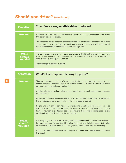# **Should you drive? (continued)**

| <b>Question:</b>                 | How does a responsible driver behave?                                                                                                                                                                                                                                                                                                                                                                                                                                                                                                                                                                                                                                                                                                                                                                                                                                               |
|----------------------------------|-------------------------------------------------------------------------------------------------------------------------------------------------------------------------------------------------------------------------------------------------------------------------------------------------------------------------------------------------------------------------------------------------------------------------------------------------------------------------------------------------------------------------------------------------------------------------------------------------------------------------------------------------------------------------------------------------------------------------------------------------------------------------------------------------------------------------------------------------------------------------------------|
| <b>Answer:</b>                   | A responsible driver knows that someone who has drunk too much should never drive, even if<br>that person feels in full control.<br>The responsible driver knows that someone who has had one too many can't make an objective<br>self-assessment. In fact, all drivers who drink may be a danger to themselves and others, even if<br>sometimes their blood alcohol content is below the legal limit.                                                                                                                                                                                                                                                                                                                                                                                                                                                                              |
| <b>What</b><br>should<br>you do? | Friends, relatives, co-workers or whoever else is around should caution a drunk person who is<br>about to drive and offer safe alternatives. Each of us bears a social and moral responsibility<br>when it comes to driving while impaired.<br>Drunk driving is everyone's business!                                                                                                                                                                                                                                                                                                                                                                                                                                                                                                                                                                                                |
|                                  |                                                                                                                                                                                                                                                                                                                                                                                                                                                                                                                                                                                                                                                                                                                                                                                                                                                                                     |
| <b>Question:</b>                 | What's the responsible way to party?                                                                                                                                                                                                                                                                                                                                                                                                                                                                                                                                                                                                                                                                                                                                                                                                                                                |
| <b>Answer:</b>                   | There are a number of options. When you go out with friends, or even as a couple, you can<br>name a designated driver who agrees not to drink alcohol. Over time, you take turns so that<br>everyone gets a chance to party as they like.<br>Another solution is to share a taxi or take public transit, which doesn't cost much and<br>minimizes risk.<br>During the holiday season in December, you can contact Opération Nez rouge, an organization<br>that provides volunteer drivers to take you home, no questions asked.<br>People who host parties can help, too, by providing non-alcoholic drinks, such as juice,<br>sparkling water or fruit punch as options for everyone. Hosts should stop serving alcohol at<br>least one hour before guests are expected to leave, and they should encourage people to stop<br>drinking alcohol in anticipation of the return home. |
| <b>What</b><br>should<br>you do? | If any of your guests appears drunk, everyone should be concerned. Don't hesitate to intervene<br>to prevent someone from driving. Offer a bed for the night or help the person find a place<br>nearby to stay. If the person insists on going home, have someone else do the driving.<br>Alcohol can often surprise you with its impact. You don't want to experience that behind<br>the wheel!                                                                                                                                                                                                                                                                                                                                                                                                                                                                                    |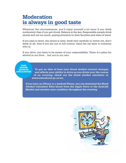# **Moderation is always in good taste**

Whatever the circumstances, you'll enjoy yourself a lot more if you drink moderately than if you get drunk. Balance is the key. Responsible people drink slowly and not too much, paying attention to their faculties and state of mind.

If you plan to drive, the choice is clear: drink very carefully or, better yet, don't drink at all. And if you are not in full control, hand the car keys to someone who is.

If you drive, you have to be aware of your responsibility. There is a place for alcohol in our lives… but not in our cars.

**FREE IPHONE ANDROID APPLICATIONS**

**To get an idea of how your blood alcohol content changes and affects your ability to drive as you drink over the course of an evening, check out the blood alcohol calculator at www.educalcool.qc.ca/en.**

**If you have an iPhone or a Android Phone, you can download the Blood Alcohol Calculator Éduc'alcool from the Apple Store or the Android Market and monitor your condition throughout the evening.**